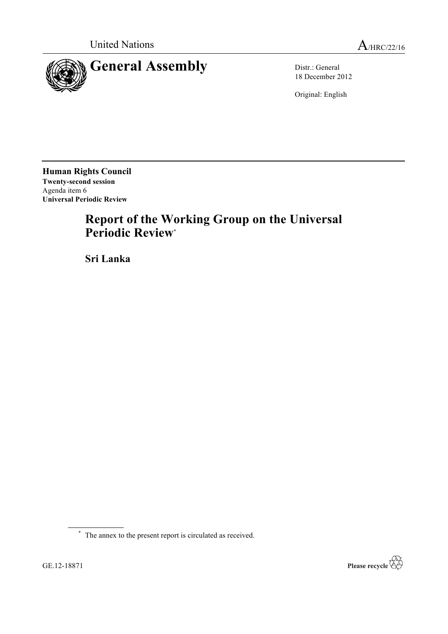

18 December 2012

Original: English

**Human Rights Council Twenty-second session** Agenda item 6 **Universal Periodic Review**

# **Report of the Working Group on the Universal Periodic Review**\*

**Sri Lanka**

\* The annex to the present report is circulated as received.

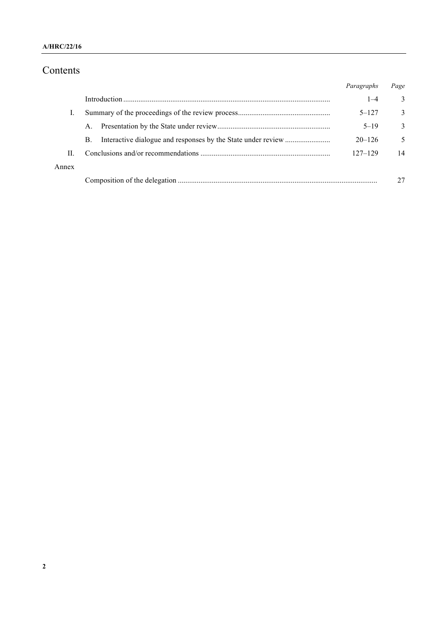## **A/HRC/22/16**

# Contents

|       |             | Paragraphs  | Page |
|-------|-------------|-------------|------|
|       |             | $1 - 4$     | 3    |
|       |             | $5 - 127$   | 3    |
|       | $A_{\cdot}$ | $5 - 19$    | 3    |
|       | <b>B.</b>   | $20 - 126$  | 5    |
| H.    |             | $127 - 129$ | 14   |
| Annex |             |             |      |
|       |             |             |      |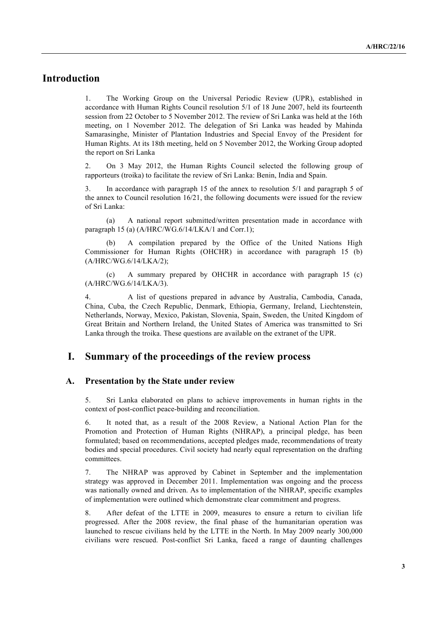# **Introduction**

1. The Working Group on the Universal Periodic Review (UPR), established in accordance with Human Rights Council resolution 5/1 of 18 June 2007, held its fourteenth session from 22 October to 5 November 2012. The review of Sri Lanka was held at the 16th meeting, on 1 November 2012. The delegation of Sri Lanka was headed by Mahinda Samarasinghe, Minister of Plantation Industries and Special Envoy of the President for Human Rights. At its 18th meeting, held on 5 November 2012, the Working Group adopted the report on Sri Lanka

2. On 3 May 2012, the Human Rights Council selected the following group of rapporteurs (troika) to facilitate the review of Sri Lanka: Benin, India and Spain.

3. In accordance with paragraph 15 of the annex to resolution 5/1 and paragraph 5 of the annex to Council resolution 16/21, the following documents were issued for the review of Sri Lanka:

(a) A national report submitted/written presentation made in accordance with paragraph 15 (a) (A/HRC/WG.6/14/LKA/1 and Corr.1);

A compilation prepared by the Office of the United Nations High Commissioner for Human Rights (OHCHR) in accordance with paragraph 15 (b) (A/HRC/WG.6/14/LKA/2);

(c) A summary prepared by OHCHR in accordance with paragraph 15 (c) (A/HRC/WG.6/14/LKA/3).

4. A list of questions prepared in advance by Australia, Cambodia, Canada, China, Cuba, the Czech Republic, Denmark, Ethiopia, Germany, Ireland, Liechtenstein, Netherlands, Norway, Mexico, Pakistan, Slovenia, Spain, Sweden, the United Kingdom of Great Britain and Northern Ireland, the United States of America was transmitted to Sri Lanka through the troika. These questions are available on the extranet of the UPR.

# **I. Summary of the proceedings of the review process**

#### **A. Presentation by the State under review**

5. Sri Lanka elaborated on plans to achieve improvements in human rights in the context of post-conflict peace-building and reconciliation.

6. It noted that, as a result of the 2008 Review, a National Action Plan for the Promotion and Protection of Human Rights (NHRAP), a principal pledge, has been formulated; based on recommendations, accepted pledges made, recommendations of treaty bodies and special procedures. Civil society had nearly equal representation on the drafting committees.

7. The NHRAP was approved by Cabinet in September and the implementation strategy was approved in December 2011. Implementation was ongoing and the process was nationally owned and driven. As to implementation of the NHRAP, specific examples of implementation were outlined which demonstrate clear commitment and progress.

8. After defeat of the LTTE in 2009, measures to ensure a return to civilian life progressed. After the 2008 review, the final phase of the humanitarian operation was launched to rescue civilians held by the LTTE in the North. In May 2009 nearly 300,000 civilians were rescued. Post-conflict Sri Lanka, faced a range of daunting challenges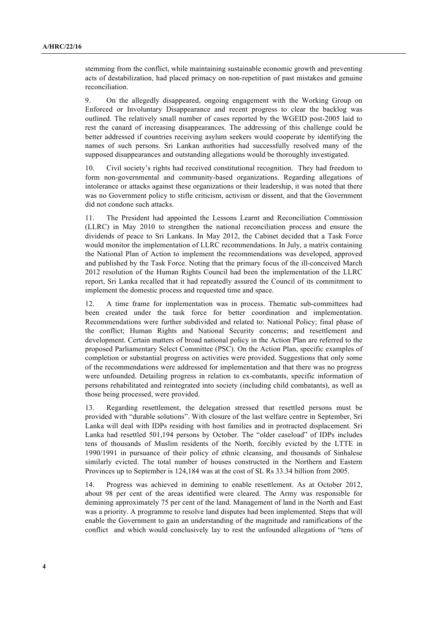stemming from the conflict, while maintaining sustainable economic growth and preventing acts of destabilization, had placed primacy on non-repetition of past mistakes and genuine reconciliation.

9. On the allegedly disappeared, ongoing engagement with the Working Group on Enforced or Involuntary Disappearance and recent progress to clear the backlog was outlined. The relatively small number of cases reported by the WGEID post-2005 laid to rest the canard of increasing disappearances. The addressing of this challenge could be better addressed if countries receiving asylum seekers would cooperate by identifying the names of such persons. Sri Lankan authorities had successfully resolved many of the supposed disappearances and outstanding allegations would be thoroughly investigated.

10. Civil society's rights had received constitutional recognition. They had freedom to form non-governmental and community-based organizations. Regarding allegations of intolerance or attacks against these organizations or their leadership, it was noted that there was no Government policy to stifle criticism, activism or dissent, and that the Government did not condone such attacks.

11. The President had appointed the Lessons Learnt and Reconciliation Commission (LLRC) in May 2010 to strengthen the national reconciliation process and ensure the dividends of peace to Sri Lankans. In May 2012, the Cabinet decided that a Task Force would monitor the implementation of LLRC recommendations. In July, a matrix containing the National Plan of Action to implement the recommendations was developed, approved and published by the Task Force. Noting that the primary focus of the ill-conceived March 2012 resolution of the Human Rights Council had been the implementation of the LLRC report, Sri Lanka recalled that it had repeatedly assured the Council of its commitment to implement the domestic process and requested time and space.

12. A time frame for implementation was in process. Thematic sub-committees had been created under the task force for better coordination and implementation. Recommendations were further subdivided and related to: National Policy; final phase of the conflict; Human Rights and National Security concerns; and resettlement and development. Certain matters of broad national policy in the Action Plan are referred to the proposed Parliamentary Select Committee (PSC). On the Action Plan, specific examples of completion or substantial progress on activities were provided. Suggestions that only some of the recommendations were addressed for implementation and that there was no progress were unfounded. Detailing progress in relation to ex-combatants, specific information of persons rehabilitated and reintegrated into society (including child combatants), as well as those being processed, were provided.

13. Regarding resettlement, the delegation stressed that resettled persons must be provided with "durable solutions". With closure of the last welfare centre in September, Sri Lanka will deal with IDPs residing with host families and in protracted displacement. Sri Lanka had resettled 501,194 persons by October. The "older caseload" of IDPs includes tens of thousands of Muslim residents of the North, forcibly evicted by the LTTE in 1990/1991 in pursuance of their policy of ethnic cleansing, and thousands of Sinhalese similarly evicted. The total number of houses constructed in the Northern and Eastern Provinces up to September is 124,184 was at the cost of SL Rs 33.34 billion from 2005.

14. Progress was achieved in demining to enable resettlement. As at October 2012, about 98 per cent of the areas identified were cleared. The Army was responsible for demining approximately 75 per cent of the land. Management of land in the North and East was a priority. A programme to resolve land disputes had been implemented. Steps that will enable the Government to gain an understanding of the magnitude and ramifications of the conflict and which would conclusively lay to rest the unfounded allegations of "tens of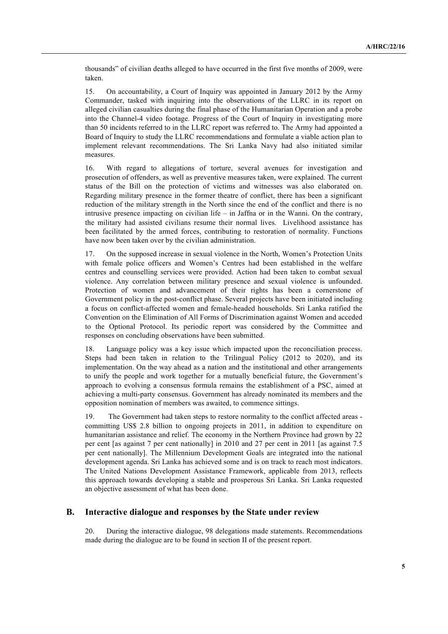thousands" of civilian deaths alleged to have occurred in the first five months of 2009, were taken.

15. On accountability, a Court of Inquiry was appointed in January 2012 by the Army Commander, tasked with inquiring into the observations of the LLRC in its report on alleged civilian casualties during the final phase of the Humanitarian Operation and a probe into the Channel-4 video footage. Progress of the Court of Inquiry in investigating more than 50 incidents referred to in the LLRC report was referred to. The Army had appointed a Board of Inquiry to study the LLRC recommendations and formulate a viable action plan to implement relevant recommendations. The Sri Lanka Navy had also initiated similar measures.

16. With regard to allegations of torture, several avenues for investigation and prosecution of offenders, as well as preventive measures taken, were explained. The current status of the Bill on the protection of victims and witnesses was also elaborated on. Regarding military presence in the former theatre of conflict, there has been a significant reduction of the military strength in the North since the end of the conflict and there is no intrusive presence impacting on civilian life – in Jaffna or in the Wanni. On the contrary, the military had assisted civilians resume their normal lives. Livelihood assistance has been facilitated by the armed forces, contributing to restoration of normality. Functions have now been taken over by the civilian administration.

17. On the supposed increase in sexual violence in the North, Women's Protection Units with female police officers and Women's Centres had been established in the welfare centres and counselling services were provided. Action had been taken to combat sexual violence. Any correlation between military presence and sexual violence is unfounded. Protection of women and advancement of their rights has been a cornerstone of Government policy in the post-conflict phase. Several projects have been initiated including a focus on conflict-affected women and female-headed households. Sri Lanka ratified the Convention on the Elimination of All Forms of Discrimination against Women and acceded to the Optional Protocol. Its periodic report was considered by the Committee and responses on concluding observations have been submitted.

18. Language policy was a key issue which impacted upon the reconciliation process. Steps had been taken in relation to the Trilingual Policy (2012 to 2020), and its implementation. On the way ahead as a nation and the institutional and other arrangements to unify the people and work together for a mutually beneficial future, the Government's approach to evolving a consensus formula remains the establishment of a PSC, aimed at achieving a multi-party consensus. Government has already nominated its members and the opposition nomination of members was awaited, to commence sittings.

19. The Government had taken steps to restore normality to the conflict affected areas committing US\$ 2.8 billion to ongoing projects in 2011, in addition to expenditure on humanitarian assistance and relief. The economy in the Northern Province had grown by 22 per cent [as against 7 per cent nationally] in 2010 and 27 per cent in 2011 [as against 7.5 per cent nationally]. The Millennium Development Goals are integrated into the national development agenda. Sri Lanka has achieved some and is on track to reach most indicators. The United Nations Development Assistance Framework, applicable from 2013, reflects this approach towards developing a stable and prosperous Sri Lanka. Sri Lanka requested an objective assessment of what has been done.

## **B. Interactive dialogue and responses by the State under review**

20. During the interactive dialogue, 98 delegations made statements. Recommendations made during the dialogue are to be found in section II of the present report.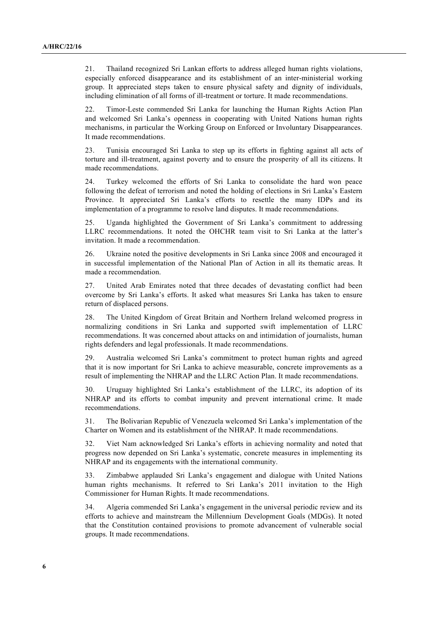21. Thailand recognized Sri Lankan efforts to address alleged human rights violations, especially enforced disappearance and its establishment of an inter-ministerial working group. It appreciated steps taken to ensure physical safety and dignity of individuals, including elimination of all forms of ill-treatment or torture. It made recommendations.

22. Timor-Leste commended Sri Lanka for launching the Human Rights Action Plan and welcomed Sri Lanka's openness in cooperating with United Nations human rights mechanisms, in particular the Working Group on Enforced or Involuntary Disappearances. It made recommendations.

23. Tunisia encouraged Sri Lanka to step up its efforts in fighting against all acts of torture and ill-treatment, against poverty and to ensure the prosperity of all its citizens. It made recommendations.

24. Turkey welcomed the efforts of Sri Lanka to consolidate the hard won peace following the defeat of terrorism and noted the holding of elections in Sri Lanka's Eastern Province. It appreciated Sri Lanka's efforts to resettle the many IDPs and its implementation of a programme to resolve land disputes. It made recommendations.

25. Uganda highlighted the Government of Sri Lanka's commitment to addressing LLRC recommendations. It noted the OHCHR team visit to Sri Lanka at the latter's invitation. It made a recommendation.

26. Ukraine noted the positive developments in Sri Lanka since 2008 and encouraged it in successful implementation of the National Plan of Action in all its thematic areas. It made a recommendation.

27. United Arab Emirates noted that three decades of devastating conflict had been overcome by Sri Lanka's efforts. It asked what measures Sri Lanka has taken to ensure return of displaced persons.

28. The United Kingdom of Great Britain and Northern Ireland welcomed progress in normalizing conditions in Sri Lanka and supported swift implementation of LLRC recommendations. It was concerned about attacks on and intimidation of journalists, human rights defenders and legal professionals. It made recommendations.

29. Australia welcomed Sri Lanka's commitment to protect human rights and agreed that it is now important for Sri Lanka to achieve measurable, concrete improvements as a result of implementing the NHRAP and the LLRC Action Plan. It made recommendations.

30. Uruguay highlighted Sri Lanka's establishment of the LLRC, its adoption of its NHRAP and its efforts to combat impunity and prevent international crime. It made recommendations.

31. The Bolivarian Republic of Venezuela welcomed Sri Lanka's implementation of the Charter on Women and its establishment of the NHRAP. It made recommendations.

32. Viet Nam acknowledged Sri Lanka's efforts in achieving normality and noted that progress now depended on Sri Lanka's systematic, concrete measures in implementing its NHRAP and its engagements with the international community.

33. Zimbabwe applauded Sri Lanka's engagement and dialogue with United Nations human rights mechanisms. It referred to Sri Lanka's 2011 invitation to the High Commissioner for Human Rights. It made recommendations.

34. Algeria commended Sri Lanka's engagement in the universal periodic review and its efforts to achieve and mainstream the Millennium Development Goals (MDGs). It noted that the Constitution contained provisions to promote advancement of vulnerable social groups. It made recommendations.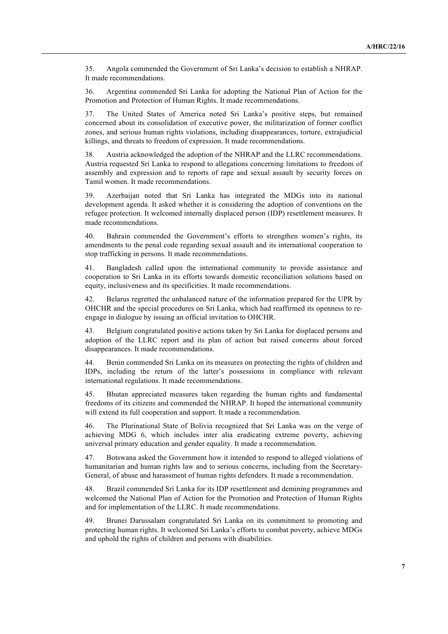35. Angola commended the Government of Sri Lanka's decision to establish a NHRAP. It made recommendations.

36. Argentina commended Sri Lanka for adopting the National Plan of Action for the Promotion and Protection of Human Rights. It made recommendations.

37. The United States of America noted Sri Lanka's positive steps, but remained concerned about its consolidation of executive power, the militarization of former conflict zones, and serious human rights violations, including disappearances, torture, extrajudicial killings, and threats to freedom of expression. It made recommendations.

38. Austria acknowledged the adoption of the NHRAP and the LLRC recommendations. Austria requested Sri Lanka to respond to allegations concerning limitations to freedom of assembly and expression and to reports of rape and sexual assault by security forces on Tamil women. It made recommendations.

39. Azerbaijan noted that Sri Lanka has integrated the MDGs into its national development agenda. It asked whether it is considering the adoption of conventions on the refugee protection. It welcomed internally displaced person (IDP) resettlement measures. It made recommendations.

40. Bahrain commended the Government's efforts to strengthen women's rights, its amendments to the penal code regarding sexual assault and its international cooperation to stop trafficking in persons. It made recommendations.

41. Bangladesh called upon the international community to provide assistance and cooperation to Sri Lanka in its efforts towards domestic reconciliation solutions based on equity, inclusiveness and its specificities. It made recommendations.

42. Belarus regretted the unbalanced nature of the information prepared for the UPR by OHCHR and the special procedures on Sri Lanka, which had reaffirmed its openness to reengage in dialogue by issuing an official invitation to OHCHR.

43. Belgium congratulated positive actions taken by Sri Lanka for displaced persons and adoption of the LLRC report and its plan of action but raised concerns about forced disappearances. It made recommendations.

44. Benin commended Sri Lanka on its measures on protecting the rights of children and IDPs, including the return of the latter's possessions in compliance with relevant international regulations. It made recommendations.

45. Bhutan appreciated measures taken regarding the human rights and fundamental freedoms of its citizens and commended the NHRAP. It hoped the international community will extend its full cooperation and support. It made a recommendation.

46. The Plurinational State of Bolivia recognized that Sri Lanka was on the verge of achieving MDG 6, which includes inter alia eradicating extreme poverty, achieving universal primary education and gender equality. It made a recommendation.

47. Botswana asked the Government how it intended to respond to alleged violations of humanitarian and human rights law and to serious concerns, including from the Secretary-General, of abuse and harassment of human rights defenders. It made a recommendation.

48. Brazil commended Sri Lanka for its IDP resettlement and demining programmes and welcomed the National Plan of Action for the Promotion and Protection of Human Rights and for implementation of the LLRC. It made recommendations.

49. Brunei Darussalam congratulated Sri Lanka on its commitment to promoting and protecting human rights. It welcomed Sri Lanka's efforts to combat poverty, achieve MDGs and uphold the rights of children and persons with disabilities.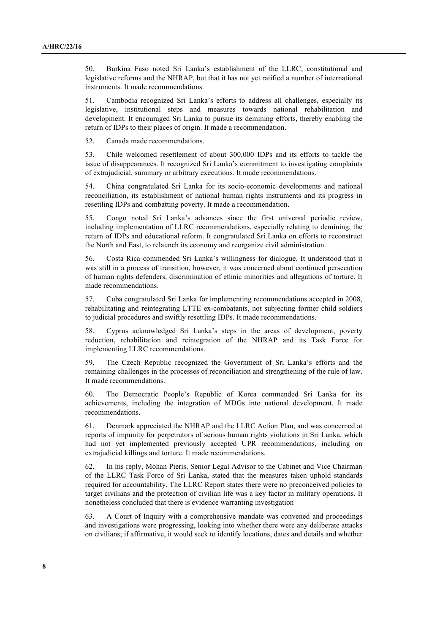50. Burkina Faso noted Sri Lanka's establishment of the LLRC, constitutional and legislative reforms and the NHRAP, but that it has not yet ratified a number of international instruments. It made recommendations.

51. Cambodia recognized Sri Lanka's efforts to address all challenges, especially its legislative, institutional steps and measures towards national rehabilitation and development. It encouraged Sri Lanka to pursue its demining efforts, thereby enabling the return of IDPs to their places of origin. It made a recommendation.

52. Canada made recommendations.

53. Chile welcomed resettlement of about 300,000 IDPs and its efforts to tackle the issue of disappearances. It recognized Sri Lanka's commitment to investigating complaints of extrajudicial, summary or arbitrary executions. It made recommendations.

54. China congratulated Sri Lanka for its socio-economic developments and national reconciliation, its establishment of national human rights instruments and its progress in resettling IDPs and combatting poverty. It made a recommendation.

55. Congo noted Sri Lanka's advances since the first universal periodic review, including implementation of LLRC recommendations, especially relating to demining, the return of IDPs and educational reform. It congratulated Sri Lanka on efforts to reconstruct the North and East, to relaunch its economy and reorganize civil administration.

56. Costa Rica commended Sri Lanka's willingness for dialogue. It understood that it was still in a process of transition, however, it was concerned about continued persecution of human rights defenders, discrimination of ethnic minorities and allegations of torture. It made recommendations.

57. Cuba congratulated Sri Lanka for implementing recommendations accepted in 2008, rehabilitating and reintegrating LTTE ex-combatants, not subjecting former child soldiers to judicial procedures and swiftly resettling IDPs. It made recommendations.

58. Cyprus acknowledged Sri Lanka's steps in the areas of development, poverty reduction, rehabilitation and reintegration of the NHRAP and its Task Force for implementing LLRC recommendations.

59. The Czech Republic recognized the Government of Sri Lanka's efforts and the remaining challenges in the processes of reconciliation and strengthening of the rule of law. It made recommendations.

60. The Democratic People's Republic of Korea commended Sri Lanka for its achievements, including the integration of MDGs into national development. It made recommendations.

61. Denmark appreciated the NHRAP and the LLRC Action Plan, and was concerned at reports of impunity for perpetrators of serious human rights violations in Sri Lanka, which had not yet implemented previously accepted UPR recommendations, including on extrajudicial killings and torture. It made recommendations.

62. In his reply, Mohan Pieris, Senior Legal Advisor to the Cabinet and Vice Chairman of the LLRC Task Force of Sri Lanka, stated that the measures taken uphold standards required for accountability. The LLRC Report states there were no preconceived policies to target civilians and the protection of civilian life was a key factor in military operations. It nonetheless concluded that there is evidence warranting investigation

63. A Court of Inquiry with a comprehensive mandate was convened and proceedings and investigations were progressing, looking into whether there were any deliberate attacks on civilians; if affirmative, it would seek to identify locations, dates and details and whether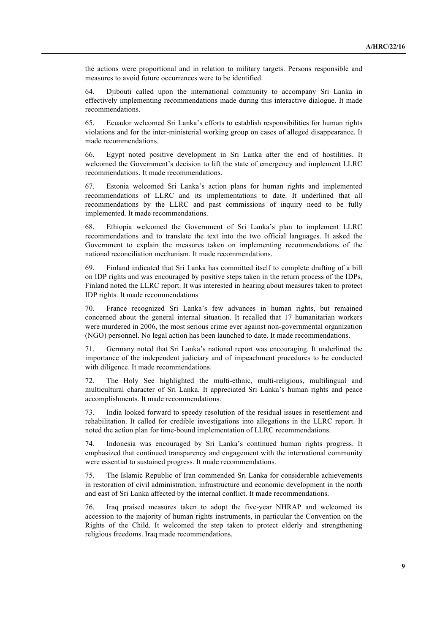the actions were proportional and in relation to military targets. Persons responsible and measures to avoid future occurrences were to be identified.

64. Djibouti called upon the international community to accompany Sri Lanka in effectively implementing recommendations made during this interactive dialogue. It made recommendations.

65. Ecuador welcomed Sri Lanka's efforts to establish responsibilities for human rights violations and for the inter-ministerial working group on cases of alleged disappearance. It made recommendations.

66. Egypt noted positive development in Sri Lanka after the end of hostilities. It welcomed the Government's decision to lift the state of emergency and implement LLRC recommendations. It made recommendations.

67. Estonia welcomed Sri Lanka's action plans for human rights and implemented recommendations of LLRC and its implementations to date. It underlined that all recommendations by the LLRC and past commissions of inquiry need to be fully implemented. It made recommendations.

68. Ethiopia welcomed the Government of Sri Lanka's plan to implement LLRC recommendations and to translate the text into the two official languages. It asked the Government to explain the measures taken on implementing recommendations of the national reconciliation mechanism. It made recommendations.

69. Finland indicated that Sri Lanka has committed itself to complete drafting of a bill on IDP rights and was encouraged by positive steps taken in the return process of the IDPs, Finland noted the LLRC report. It was interested in hearing about measures taken to protect IDP rights. It made recommendations

70. France recognized Sri Lanka's few advances in human rights, but remained concerned about the general internal situation. It recalled that 17 humanitarian workers were murdered in 2006, the most serious crime ever against non-governmental organization (NGO) personnel. No legal action has been launched to date. It made recommendations.

71. Germany noted that Sri Lanka's national report was encouraging. It underlined the importance of the independent judiciary and of impeachment procedures to be conducted with diligence. It made recommendations.

72. The Holy See highlighted the multi-ethnic, multi-religious, multilingual and multicultural character of Sri Lanka. It appreciated Sri Lanka's human rights and peace accomplishments. It made recommendations.

73. India looked forward to speedy resolution of the residual issues in resettlement and rehabilitation. It called for credible investigations into allegations in the LLRC report. It noted the action plan for time-bound implementation of LLRC recommendations.

74. Indonesia was encouraged by Sri Lanka's continued human rights progress. It emphasized that continued transparency and engagement with the international community were essential to sustained progress. It made recommendations.

75. The Islamic Republic of Iran commended Sri Lanka for considerable achievements in restoration of civil administration, infrastructure and economic development in the north and east of Sri Lanka affected by the internal conflict. It made recommendations.

76. Iraq praised measures taken to adopt the five-year NHRAP and welcomed its accession to the majority of human rights instruments, in particular the Convention on the Rights of the Child. It welcomed the step taken to protect elderly and strengthening religious freedoms. Iraq made recommendations.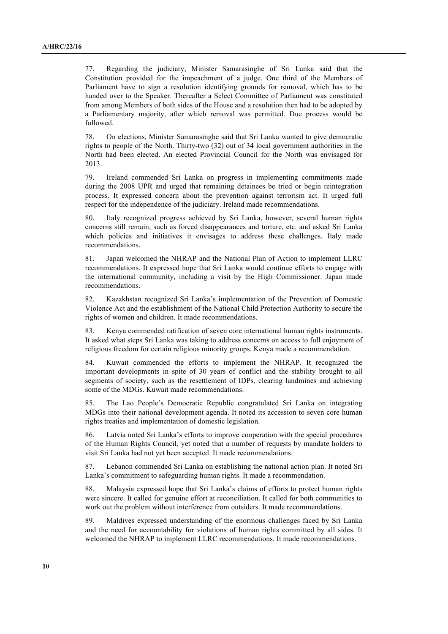77. Regarding the judiciary, Minister Samarasinghe of Sri Lanka said that the Constitution provided for the impeachment of a judge. One third of the Members of Parliament have to sign a resolution identifying grounds for removal, which has to be handed over to the Speaker. Thereafter a Select Committee of Parliament was constituted from among Members of both sides of the House and a resolution then had to be adopted by a Parliamentary majority, after which removal was permitted. Due process would be followed.

78. On elections, Minister Samarasinghe said that Sri Lanka wanted to give democratic rights to people of the North. Thirty-two (32) out of 34 local government authorities in the North had been elected. An elected Provincial Council for the North was envisaged for 2013.

79. Ireland commended Sri Lanka on progress in implementing commitments made during the 2008 UPR and urged that remaining detainees be tried or begin reintegration process. It expressed concern about the prevention against terrorism act. It urged full respect for the independence of the judiciary. Ireland made recommendations.

80. Italy recognized progress achieved by Sri Lanka, however, several human rights concerns still remain, such as forced disappearances and torture, etc. and asked Sri Lanka which policies and initiatives it envisages to address these challenges. Italy made recommendations.

81. Japan welcomed the NHRAP and the National Plan of Action to implement LLRC recommendations. It expressed hope that Sri Lanka would continue efforts to engage with the international community, including a visit by the High Commissioner. Japan made recommendations.

82. Kazakhstan recognized Sri Lanka's implementation of the Prevention of Domestic Violence Act and the establishment of the National Child Protection Authority to secure the rights of women and children. It made recommendations.

83. Kenya commended ratification of seven core international human rights instruments. It asked what steps Sri Lanka was taking to address concerns on access to full enjoyment of religious freedom for certain religious minority groups. Kenya made a recommendation.

84. Kuwait commended the efforts to implement the NHRAP. It recognized the important developments in spite of 30 years of conflict and the stability brought to all segments of society, such as the resettlement of IDPs, clearing landmines and achieving some of the MDGs. Kuwait made recommendations.

85. The Lao People's Democratic Republic congratulated Sri Lanka on integrating MDGs into their national development agenda. It noted its accession to seven core human rights treaties and implementation of domestic legislation.

86. Latvia noted Sri Lanka's efforts to improve cooperation with the special procedures of the Human Rights Council, yet noted that a number of requests by mandate holders to visit Sri Lanka had not yet been accepted. It made recommendations.

87. Lebanon commended Sri Lanka on establishing the national action plan. It noted Sri Lanka's commitment to safeguarding human rights. It made a recommendation.

88. Malaysia expressed hope that Sri Lanka's claims of efforts to protect human rights were sincere. It called for genuine effort at reconciliation. It called for both communities to work out the problem without interference from outsiders. It made recommendations.

89. Maldives expressed understanding of the enormous challenges faced by Sri Lanka and the need for accountability for violations of human rights committed by all sides. It welcomed the NHRAP to implement LLRC recommendations. It made recommendations.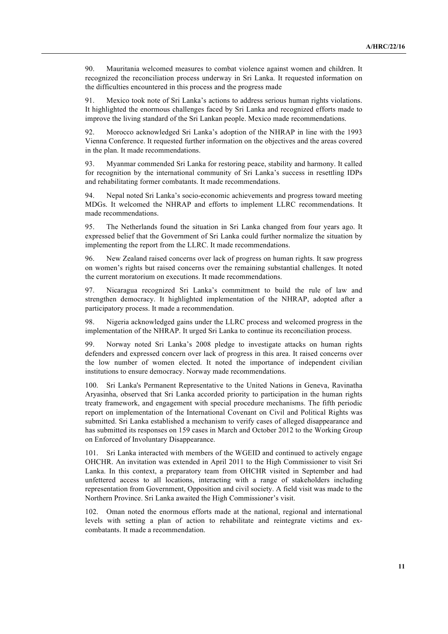90. Mauritania welcomed measures to combat violence against women and children. It recognized the reconciliation process underway in Sri Lanka. It requested information on the difficulties encountered in this process and the progress made

91. Mexico took note of Sri Lanka's actions to address serious human rights violations. It highlighted the enormous challenges faced by Sri Lanka and recognized efforts made to improve the living standard of the Sri Lankan people. Mexico made recommendations.

92. Morocco acknowledged Sri Lanka's adoption of the NHRAP in line with the 1993 Vienna Conference. It requested further information on the objectives and the areas covered in the plan. It made recommendations.

93. Myanmar commended Sri Lanka for restoring peace, stability and harmony. It called for recognition by the international community of Sri Lanka's success in resettling IDPs and rehabilitating former combatants. It made recommendations.

94. Nepal noted Sri Lanka's socio-economic achievements and progress toward meeting MDGs. It welcomed the NHRAP and efforts to implement LLRC recommendations. It made recommendations.

95. The Netherlands found the situation in Sri Lanka changed from four years ago. It expressed belief that the Government of Sri Lanka could further normalize the situation by implementing the report from the LLRC. It made recommendations.

96. New Zealand raised concerns over lack of progress on human rights. It saw progress on women's rights but raised concerns over the remaining substantial challenges. It noted the current moratorium on executions. It made recommendations.

97. Nicaragua recognized Sri Lanka's commitment to build the rule of law and strengthen democracy. It highlighted implementation of the NHRAP, adopted after a participatory process. It made a recommendation.

98. Nigeria acknowledged gains under the LLRC process and welcomed progress in the implementation of the NHRAP. It urged Sri Lanka to continue its reconciliation process.

99. Norway noted Sri Lanka's 2008 pledge to investigate attacks on human rights defenders and expressed concern over lack of progress in this area. It raised concerns over the low number of women elected. It noted the importance of independent civilian institutions to ensure democracy. Norway made recommendations.

100. Sri Lanka's Permanent Representative to the United Nations in Geneva, Ravinatha Aryasinha, observed that Sri Lanka accorded priority to participation in the human rights treaty framework, and engagement with special procedure mechanisms. The fifth periodic report on implementation of the International Covenant on Civil and Political Rights was submitted. Sri Lanka established a mechanism to verify cases of alleged disappearance and has submitted its responses on 159 cases in March and October 2012 to the Working Group on Enforced of Involuntary Disappearance.

101. Sri Lanka interacted with members of the WGEID and continued to actively engage OHCHR. An invitation was extended in April 2011 to the High Commissioner to visit Sri Lanka. In this context, a preparatory team from OHCHR visited in September and had unfettered access to all locations, interacting with a range of stakeholders including representation from Government, Opposition and civil society. A field visit was made to the Northern Province. Sri Lanka awaited the High Commissioner's visit.

102. Oman noted the enormous efforts made at the national, regional and international levels with setting a plan of action to rehabilitate and reintegrate victims and excombatants. It made a recommendation.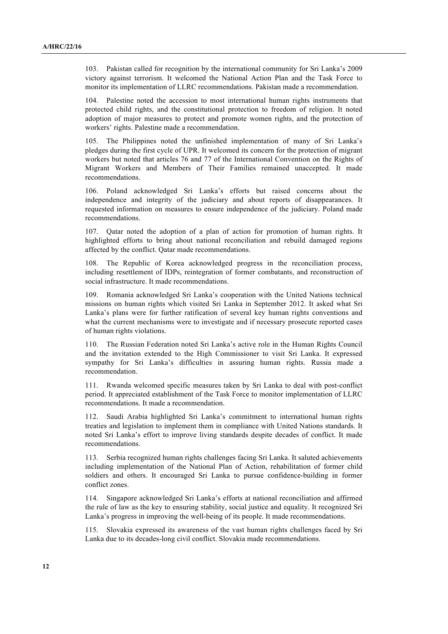103. Pakistan called for recognition by the international community for Sri Lanka's 2009 victory against terrorism. It welcomed the National Action Plan and the Task Force to monitor its implementation of LLRC recommendations. Pakistan made a recommendation.

104. Palestine noted the accession to most international human rights instruments that protected child rights, and the constitutional protection to freedom of religion. It noted adoption of major measures to protect and promote women rights, and the protection of workers' rights. Palestine made a recommendation.

105. The Philippines noted the unfinished implementation of many of Sri Lanka's pledges during the first cycle of UPR. It welcomed its concern for the protection of migrant workers but noted that articles 76 and 77 of the International Convention on the Rights of Migrant Workers and Members of Their Families remained unaccepted. It made recommendations.

106. Poland acknowledged Sri Lanka's efforts but raised concerns about the independence and integrity of the judiciary and about reports of disappearances. It requested information on measures to ensure independence of the judiciary. Poland made recommendations.

107. Qatar noted the adoption of a plan of action for promotion of human rights. It highlighted efforts to bring about national reconciliation and rebuild damaged regions affected by the conflict. Qatar made recommendations.

108. The Republic of Korea acknowledged progress in the reconciliation process, including resettlement of IDPs, reintegration of former combatants, and reconstruction of social infrastructure. It made recommendations.

109. Romania acknowledged Sri Lanka's cooperation with the United Nations technical missions on human rights which visited Sri Lanka in September 2012. It asked what Sri Lanka's plans were for further ratification of several key human rights conventions and what the current mechanisms were to investigate and if necessary prosecute reported cases of human rights violations.

110. The Russian Federation noted Sri Lanka's active role in the Human Rights Council and the invitation extended to the High Commissioner to visit Sri Lanka. It expressed sympathy for Sri Lanka's difficulties in assuring human rights. Russia made a recommendation.

111. Rwanda welcomed specific measures taken by Sri Lanka to deal with post-conflict period. It appreciated establishment of the Task Force to monitor implementation of LLRC recommendations. It made a recommendation.

112. Saudi Arabia highlighted Sri Lanka's commitment to international human rights treaties and legislation to implement them in compliance with United Nations standards. It noted Sri Lanka's effort to improve living standards despite decades of conflict. It made recommendations.

113. Serbia recognized human rights challenges facing Sri Lanka. It saluted achievements including implementation of the National Plan of Action, rehabilitation of former child soldiers and others. It encouraged Sri Lanka to pursue confidence-building in former conflict zones.

114. Singapore acknowledged Sri Lanka's efforts at national reconciliation and affirmed the rule of law as the key to ensuring stability, social justice and equality. It recognized Sri Lanka's progress in improving the well-being of its people. It made recommendations.

115. Slovakia expressed its awareness of the vast human rights challenges faced by Sri Lanka due to its decades-long civil conflict. Slovakia made recommendations.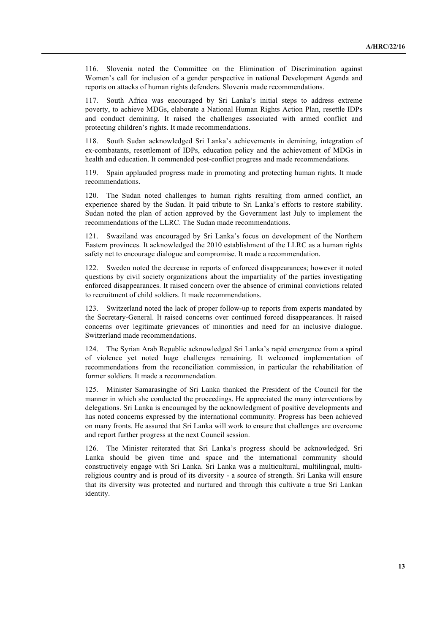116. Slovenia noted the Committee on the Elimination of Discrimination against Women's call for inclusion of a gender perspective in national Development Agenda and reports on attacks of human rights defenders. Slovenia made recommendations.

117. South Africa was encouraged by Sri Lanka's initial steps to address extreme poverty, to achieve MDGs, elaborate a National Human Rights Action Plan, resettle IDPs and conduct demining. It raised the challenges associated with armed conflict and protecting children's rights. It made recommendations.

118. South Sudan acknowledged Sri Lanka's achievements in demining, integration of ex-combatants, resettlement of IDPs, education policy and the achievement of MDGs in health and education. It commended post-conflict progress and made recommendations.

119. Spain applauded progress made in promoting and protecting human rights. It made recommendations.

120. The Sudan noted challenges to human rights resulting from armed conflict, an experience shared by the Sudan. It paid tribute to Sri Lanka's efforts to restore stability. Sudan noted the plan of action approved by the Government last July to implement the recommendations of the LLRC. The Sudan made recommendations.

121. Swaziland was encouraged by Sri Lanka's focus on development of the Northern Eastern provinces. It acknowledged the 2010 establishment of the LLRC as a human rights safety net to encourage dialogue and compromise. It made a recommendation.

122. Sweden noted the decrease in reports of enforced disappearances; however it noted questions by civil society organizations about the impartiality of the parties investigating enforced disappearances. It raised concern over the absence of criminal convictions related to recruitment of child soldiers. It made recommendations.

123. Switzerland noted the lack of proper follow-up to reports from experts mandated by the Secretary-General. It raised concerns over continued forced disappearances. It raised concerns over legitimate grievances of minorities and need for an inclusive dialogue. Switzerland made recommendations.

124. The Syrian Arab Republic acknowledged Sri Lanka's rapid emergence from a spiral of violence yet noted huge challenges remaining. It welcomed implementation of recommendations from the reconciliation commission, in particular the rehabilitation of former soldiers. It made a recommendation.

125. Minister Samarasinghe of Sri Lanka thanked the President of the Council for the manner in which she conducted the proceedings. He appreciated the many interventions by delegations. Sri Lanka is encouraged by the acknowledgment of positive developments and has noted concerns expressed by the international community. Progress has been achieved on many fronts. He assured that Sri Lanka will work to ensure that challenges are overcome and report further progress at the next Council session.

126. The Minister reiterated that Sri Lanka's progress should be acknowledged. Sri Lanka should be given time and space and the international community should constructively engage with Sri Lanka. Sri Lanka was a multicultural, multilingual, multireligious country and is proud of its diversity - a source of strength. Sri Lanka will ensure that its diversity was protected and nurtured and through this cultivate a true Sri Lankan identity.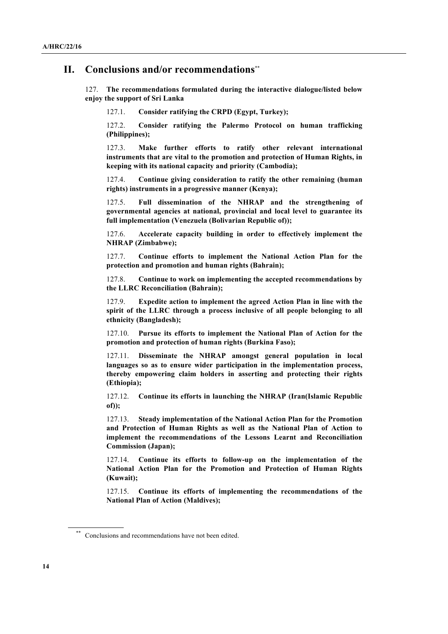# **II. Conclusions and/or recommendations**\*\*

127. **The recommendations formulated during the interactive dialogue/listed below enjoy the support of Sri Lanka**

127.1. **Consider ratifying the CRPD (Egypt, Turkey);**

127.2. **Consider ratifying the Palermo Protocol on human trafficking (Philippines);**

127.3. **Make further efforts to ratify other relevant international instruments that are vital to the promotion and protection of Human Rights, in keeping with its national capacity and priority (Cambodia);**

127.4. **Continue giving consideration to ratify the other remaining (human rights) instruments in a progressive manner (Kenya);**

127.5. **Full dissemination of the NHRAP and the strengthening of governmental agencies at national, provincial and local level to guarantee its full implementation (Venezuela (Bolivarian Republic of));**

127.6. **Accelerate capacity building in order to effectively implement the NHRAP (Zimbabwe);**

127.7. **Continue efforts to implement the National Action Plan for the protection and promotion and human rights (Bahrain);**

127.8. **Continue to work on implementing the accepted recommendations by the LLRC Reconciliation (Bahrain);**

127.9. **Expedite action to implement the agreed Action Plan in line with the spirit of the LLRC through a process inclusive of all people belonging to all ethnicity (Bangladesh);**

127.10. **Pursue its efforts to implement the National Plan of Action for the promotion and protection of human rights (Burkina Faso);**

127.11. **Disseminate the NHRAP amongst general population in local languages so as to ensure wider participation in the implementation process, thereby empowering claim holders in asserting and protecting their rights (Ethiopia);**

127.12. **Continue its efforts in launching the NHRAP (Iran(Islamic Republic of));**

127.13. **Steady implementation of the National Action Plan for the Promotion and Protection of Human Rights as well as the National Plan of Action to implement the recommendations of the Lessons Learnt and Reconciliation Commission (Japan);**

127.14. **Continue its efforts to follow-up on the implementation of the National Action Plan for the Promotion and Protection of Human Rights (Kuwait);**

127.15. **Continue its efforts of implementing the recommendations of the National Plan of Action (Maldives);** 

Conclusions and recommendations have not been edited.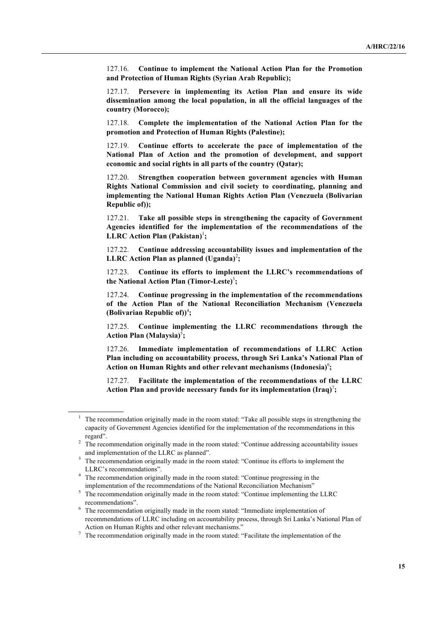127.16. **Continue to implement the National Action Plan for the Promotion and Protection of Human Rights (Syrian Arab Republic);** 

127.17. **Persevere in implementing its Action Plan and ensure its wide dissemination among the local population, in all the official languages of the country (Morocco);**

127.18. **Complete the implementation of the National Action Plan for the promotion and Protection of Human Rights (Palestine);**

127.19. **Continue efforts to accelerate the pace of implementation of the National Plan of Action and the promotion of development, and support economic and social rights in all parts of the country (Qatar);**

127.20. **Strengthen cooperation between government agencies with Human Rights National Commission and civil society to coordinating, planning and implementing the National Human Rights Action Plan (Venezuela (Bolivarian Republic of));**

127.21. **Take all possible steps in strengthening the capacity of Government Agencies identified for the implementation of the recommendations of the LLRC Action Plan (Pakistan)**<sup>1</sup> **;**

127.22. **Continue addressing accountability issues and implementation of the**  LLRC Action Plan as planned (Uganda)<sup>2</sup>;

127.23. **Continue its efforts to implement the LLRC's recommendations of the National Action Plan (Timor-Leste)**<sup>3</sup> **;**

127.24. **Continue progressing in the implementation of the recommendations of the Action Plan of the National Reconciliation Mechanism (Venezuela (Bolivarian Republic of))** 4 **;**

127.25. **Continue implementing the LLRC recommendations through the**  Action Plan (Malaysia)<sup>5</sup>;

127.26. **Immediate implementation of recommendations of LLRC Action Plan including on accountability process, through Sri Lanka's National Plan of**  Action on Human Rights and other relevant mechanisms (Indonesia)<sup>6</sup>;

127.27. **Facilitate the implementation of the recommendations of the LLRC Action Plan and provide necessary funds for its implementation (Iraq)** 7 **;**

<sup>&</sup>lt;sup>1</sup> The recommendation originally made in the room stated: "Take all possible steps in strengthening the capacity of Government Agencies identified for the implementation of the recommendations in this regard".

<sup>&</sup>lt;sup>2</sup> The recommendation originally made in the room stated: "Continue addressing accountability issues and implementation of the LLRC as planned".

<sup>&</sup>lt;sup>3</sup> The recommendation originally made in the room stated: "Continue its efforts to implement the LLRC's recommendations".

<sup>&</sup>lt;sup>4</sup> The recommendation originally made in the room stated: "Continue progressing in the implementation of the recommendations of the National Reconciliation Mechanism"

 $\frac{1}{5}$  The recommendation originally made in the room stated: "Continue implementing the LLRC recommendations".

<sup>&</sup>lt;sup>6</sup> The recommendation originally made in the room stated: "Immediate implementation of recommendations of LLRC including on accountability process, through Sri Lanka's National Plan of Action on Human Rights and other relevant mechanisms."

<sup>&</sup>lt;sup>7</sup> The recommendation originally made in the room stated: "Facilitate the implementation of the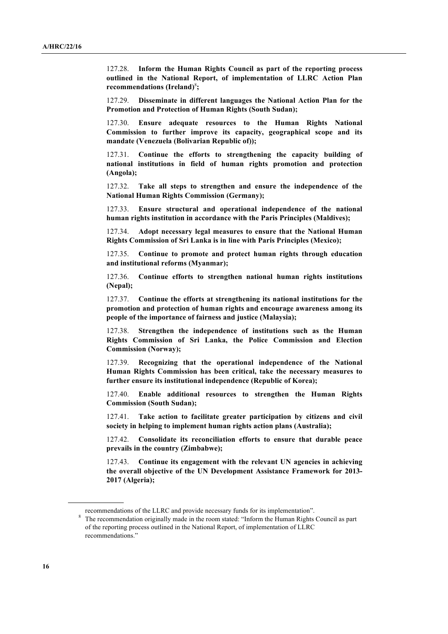127.28. **Inform the Human Rights Council as part of the reporting process outlined in the National Report, of implementation of LLRC Action Plan**  recommendations (Ireland)<sup>8</sup>;

127.29. **Disseminate in different languages the National Action Plan for the Promotion and Protection of Human Rights (South Sudan);**

127.30. **Ensure adequate resources to the Human Rights National Commission to further improve its capacity, geographical scope and its mandate (Venezuela (Bolivarian Republic of));**

127.31. **Continue the efforts to strengthening the capacity building of national institutions in field of human rights promotion and protection (Angola);**

127.32. **Take all steps to strengthen and ensure the independence of the National Human Rights Commission (Germany);**

127.33. **Ensure structural and operational independence of the national human rights institution in accordance with the Paris Principles (Maldives);**

127.34. **Adopt necessary legal measures to ensure that the National Human Rights Commission of Sri Lanka is in line with Paris Principles (Mexico);**

127.35. **Continue to promote and protect human rights through education and institutional reforms (Myanmar);**

127.36. **Continue efforts to strengthen national human rights institutions (Nepal);**

127.37. **Continue the efforts at strengthening its national institutions for the promotion and protection of human rights and encourage awareness among its people of the importance of fairness and justice (Malaysia);**

127.38. **Strengthen the independence of institutions such as the Human Rights Commission of Sri Lanka, the Police Commission and Election Commission (Norway);**

127.39. **Recognizing that the operational independence of the National Human Rights Commission has been critical, take the necessary measures to further ensure its institutional independence (Republic of Korea);**

127.40. **Enable additional resources to strengthen the Human Rights Commission (South Sudan);**

127.41. **Take action to facilitate greater participation by citizens and civil society in helping to implement human rights action plans (Australia);**

127.42. **Consolidate its reconciliation efforts to ensure that durable peace prevails in the country (Zimbabwe);**

127.43. **Continue its engagement with the relevant UN agencies in achieving the overall objective of the UN Development Assistance Framework for 2013- 2017 (Algeria);**

recommendations of the LLRC and provide necessary funds for its implementation".

<sup>&</sup>lt;sup>8</sup> The recommendation originally made in the room stated: "Inform the Human Rights Council as part of the reporting process outlined in the National Report, of implementation of LLRC recommendations."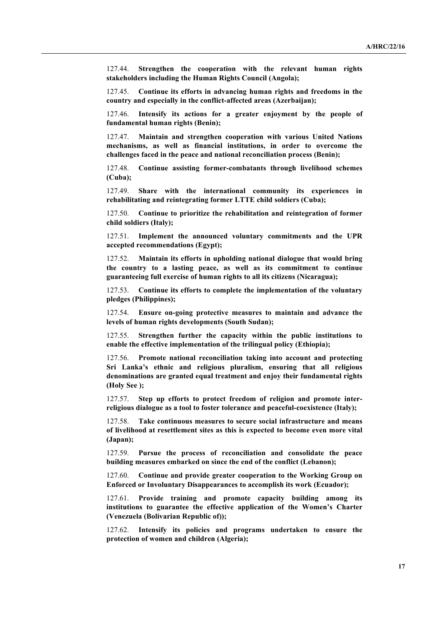127.44. **Strengthen the cooperation with the relevant human rights stakeholders including the Human Rights Council (Angola);**

127.45. **Continue its efforts in advancing human rights and freedoms in the country and especially in the conflict-affected areas (Azerbaijan);**

127.46. **Intensify its actions for a greater enjoyment by the people of fundamental human rights (Benin);**

127.47. **Maintain and strengthen cooperation with various United Nations mechanisms, as well as financial institutions, in order to overcome the challenges faced in the peace and national reconciliation process (Benin);**

127.48. **Continue assisting former-combatants through livelihood schemes (Cuba);**

127.49. **Share with the international community its experiences in rehabilitating and reintegrating former LTTE child soldiers (Cuba);**

127.50. **Continue to prioritize the rehabilitation and reintegration of former child soldiers (Italy);**

127.51. **Implement the announced voluntary commitments and the UPR accepted recommendations (Egypt);**

127.52. **Maintain its efforts in upholding national dialogue that would bring the country to a lasting peace, as well as its commitment to continue guaranteeing full exercise of human rights to all its citizens (Nicaragua);**

127.53. **Continue its efforts to complete the implementation of the voluntary pledges (Philippines);**

127.54. **Ensure on-going protective measures to maintain and advance the levels of human rights developments (South Sudan);**

127.55. **Strengthen further the capacity within the public institutions to enable the effective implementation of the trilingual policy (Ethiopia);**

127.56. **Promote national reconciliation taking into account and protecting Sri Lanka's ethnic and religious pluralism, ensuring that all religious denominations are granted equal treatment and enjoy their fundamental rights (Holy See );**

127.57. **Step up efforts to protect freedom of religion and promote interreligious dialogue as a tool to foster tolerance and peaceful-coexistence (Italy);**

127.58. **Take continuous measures to secure social infrastructure and means of livelihood at resettlement sites as this is expected to become even more vital (Japan);**

127.59. **Pursue the process of reconciliation and consolidate the peace building measures embarked on since the end of the conflict (Lebanon);**

127.60. **Continue and provide greater cooperation to the Working Group on Enforced or Involuntary Disappearances to accomplish its work (Ecuador);**

127.61. **Provide training and promote capacity building among its institutions to guarantee the effective application of the Women's Charter (Venezuela (Bolivarian Republic of));**

127.62. **Intensify its policies and programs undertaken to ensure the protection of women and children (Algeria);**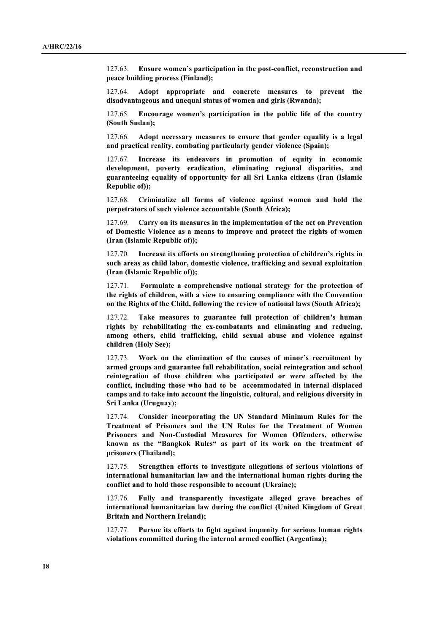127.63. **Ensure women's participation in the post-conflict, reconstruction and peace building process (Finland);**

127.64. **Adopt appropriate and concrete measures to prevent the disadvantageous and unequal status of women and girls (Rwanda);**

127.65. **Encourage women's participation in the public life of the country (South Sudan);**

127.66. **Adopt necessary measures to ensure that gender equality is a legal and practical reality, combating particularly gender violence (Spain);**

127.67. **Increase its endeavors in promotion of equity in economic development, poverty eradication, eliminating regional disparities, and guaranteeing equality of opportunity for all Sri Lanka citizens (Iran (Islamic Republic of));**

127.68. **Criminalize all forms of violence against women and hold the perpetrators of such violence accountable (South Africa);**

127.69. **Carry on its measures in the implementation of the act on Prevention of Domestic Violence as a means to improve and protect the rights of women (Iran (Islamic Republic of));**

127.70. **Increase its efforts on strengthening protection of children's rights in such areas as child labor, domestic violence, trafficking and sexual exploitation (Iran (Islamic Republic of));**

127.71. **Formulate a comprehensive national strategy for the protection of the rights of children, with a view to ensuring compliance with the Convention on the Rights of the Child, following the review of national laws (South Africa);**

127.72. **Take measures to guarantee full protection of children's human rights by rehabilitating the ex-combatants and eliminating and reducing, among others, child trafficking, child sexual abuse and violence against children (Holy See);**

127.73. **Work on the elimination of the causes of minor's recruitment by armed groups and guarantee full rehabilitation, social reintegration and school reintegration of those children who participated or were affected by the conflict, including those who had to be accommodated in internal displaced camps and to take into account the linguistic, cultural, and religious diversity in Sri Lanka (Uruguay);**

127.74. **Consider incorporating the UN Standard Minimum Rules for the Treatment of Prisoners and the UN Rules for the Treatment of Women Prisoners and Non-Custodial Measures for Women Offenders, otherwise known as the "Bangkok Rules" as part of its work on the treatment of prisoners (Thailand);**

127.75. **Strengthen efforts to investigate allegations of serious violations of international humanitarian law and the international human rights during the conflict and to hold those responsible to account (Ukraine);**

127.76. **Fully and transparently investigate alleged grave breaches of international humanitarian law during the conflict (United Kingdom of Great Britain and Northern Ireland);**

127.77. **Pursue its efforts to fight against impunity for serious human rights violations committed during the internal armed conflict (Argentina);**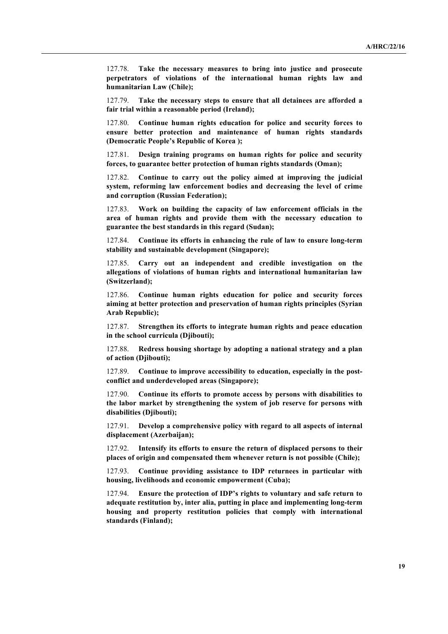127.78. **Take the necessary measures to bring into justice and prosecute perpetrators of violations of the international human rights law and humanitarian Law (Chile);**

127.79. **Take the necessary steps to ensure that all detainees are afforded a fair trial within a reasonable period (Ireland);**

127.80. **Continue human rights education for police and security forces to ensure better protection and maintenance of human rights standards (Democratic People's Republic of Korea );**

127.81. **Design training programs on human rights for police and security forces, to guarantee better protection of human rights standards (Oman);**

127.82. **Continue to carry out the policy aimed at improving the judicial system, reforming law enforcement bodies and decreasing the level of crime and corruption (Russian Federation);**

127.83. **Work on building the capacity of law enforcement officials in the area of human rights and provide them with the necessary education to guarantee the best standards in this regard (Sudan);**

127.84. **Continue its efforts in enhancing the rule of law to ensure long-term stability and sustainable development (Singapore);**

127.85. **Carry out an independent and credible investigation on the allegations of violations of human rights and international humanitarian law (Switzerland);**

127.86. **Continue human rights education for police and security forces aiming at better protection and preservation of human rights principles (Syrian Arab Republic);**

127.87. **Strengthen its efforts to integrate human rights and peace education in the school curricula (Djibouti);**

127.88. **Redress housing shortage by adopting a national strategy and a plan of action (Djibouti);**

127.89. **Continue to improve accessibility to education, especially in the postconflict and underdeveloped areas (Singapore);**

127.90. **Continue its efforts to promote access by persons with disabilities to the labor market by strengthening the system of job reserve for persons with disabilities (Djibouti);**

127.91. **Develop a comprehensive policy with regard to all aspects of internal displacement (Azerbaijan);**

127.92. **Intensify its efforts to ensure the return of displaced persons to their places of origin and compensated them whenever return is not possible (Chile);**

127.93. **Continue providing assistance to IDP returnees in particular with housing, livelihoods and economic empowerment (Cuba);**

127.94. **Ensure the protection of IDP's rights to voluntary and safe return to adequate restitution by, inter alia, putting in place and implementing long-term housing and property restitution policies that comply with international standards (Finland);**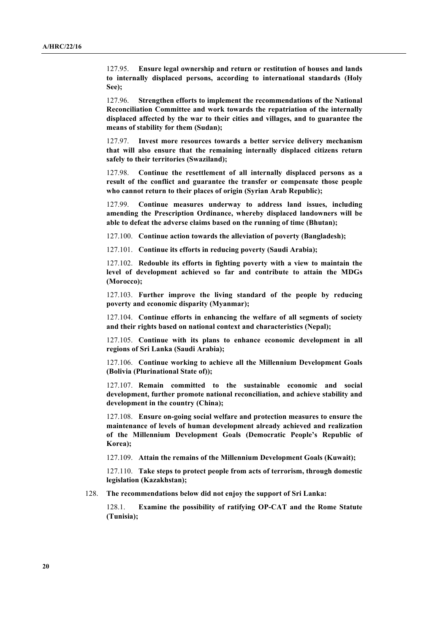127.95. **Ensure legal ownership and return or restitution of houses and lands to internally displaced persons, according to international standards (Holy See);**

127.96. **Strengthen efforts to implement the recommendations of the National Reconciliation Committee and work towards the repatriation of the internally displaced affected by the war to their cities and villages, and to guarantee the means of stability for them (Sudan);**

127.97. **Invest more resources towards a better service delivery mechanism that will also ensure that the remaining internally displaced citizens return safely to their territories (Swaziland);**

127.98. **Continue the resettlement of all internally displaced persons as a result of the conflict and guarantee the transfer or compensate those people who cannot return to their places of origin (Syrian Arab Republic);**

127.99. **Continue measures underway to address land issues, including amending the Prescription Ordinance, whereby displaced landowners will be able to defeat the adverse claims based on the running of time (Bhutan);**

127.100. **Continue action towards the alleviation of poverty (Bangladesh);**

127.101. **Continue its efforts in reducing poverty (Saudi Arabia);**

127.102. **Redouble its efforts in fighting poverty with a view to maintain the level of development achieved so far and contribute to attain the MDGs (Morocco);**

127.103. **Further improve the living standard of the people by reducing poverty and economic disparity (Myanmar);**

127.104. **Continue efforts in enhancing the welfare of all segments of society and their rights based on national context and characteristics (Nepal);**

127.105. **Continue with its plans to enhance economic development in all regions of Sri Lanka (Saudi Arabia);**

127.106. **Continue working to achieve all the Millennium Development Goals (Bolivia (Plurinational State of));**

127.107. **Remain committed to the sustainable economic and social development, further promote national reconciliation, and achieve stability and development in the country (China);**

127.108. **Ensure on-going social welfare and protection measures to ensure the maintenance of levels of human development already achieved and realization of the Millennium Development Goals (Democratic People's Republic of Korea);**

127.109. **Attain the remains of the Millennium Development Goals (Kuwait);**

127.110. **Take steps to protect people from acts of terrorism, through domestic legislation (Kazakhstan);**

128. **The recommendations below did not enjoy the support of Sri Lanka:**

128.1. **Examine the possibility of ratifying OP-CAT and the Rome Statute (Tunisia);**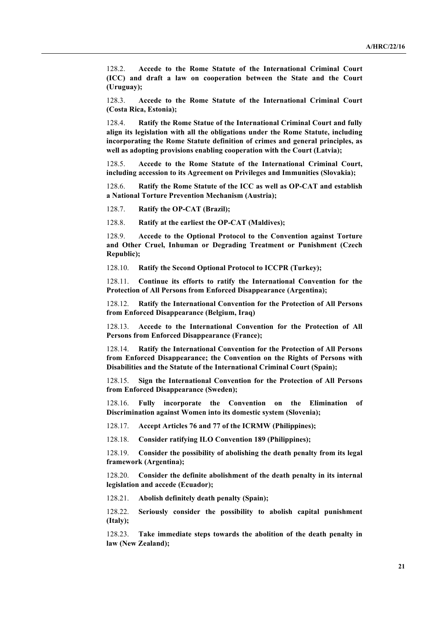128.2. **Accede to the Rome Statute of the International Criminal Court (ICC) and draft a law on cooperation between the State and the Court (Uruguay);**

128.3. **Accede to the Rome Statute of the International Criminal Court (Costa Rica, Estonia);**

128.4. **Ratify the Rome Statue of the International Criminal Court and fully align its legislation with all the obligations under the Rome Statute, including incorporating the Rome Statute definition of crimes and general principles, as well as adopting provisions enabling cooperation with the Court (Latvia);**

128.5. **Accede to the Rome Statute of the International Criminal Court, including accession to its Agreement on Privileges and Immunities (Slovakia);**

128.6. **Ratify the Rome Statute of the ICC as well as OP-CAT and establish a National Torture Prevention Mechanism (Austria);**

128.7. **Ratify the OP-CAT (Brazil);**

128.8. **Ratify at the earliest the OP-CAT (Maldives);**

128.9. **Accede to the Optional Protocol to the Convention against Torture and Other Cruel, Inhuman or Degrading Treatment or Punishment (Czech Republic);**

128.10. **Ratify the Second Optional Protocol to ICCPR (Turkey);**

128.11. **Continue its efforts to ratify the International Convention for the Protection of All Persons from Enforced Disappearance (Argentina);**

128.12. **Ratify the International Convention for the Protection of All Persons from Enforced Disappearance (Belgium, Iraq)**

128.13. **Accede to the International Convention for the Protection of All Persons from Enforced Disappearance (France);**

128.14. **Ratify the International Convention for the Protection of All Persons from Enforced Disappearance; the Convention on the Rights of Persons with Disabilities and the Statute of the International Criminal Court (Spain);**

128.15. **Sign the International Convention for the Protection of All Persons from Enforced Disappearance (Sweden);**

128.16. **Fully incorporate the Convention on the Elimination of Discrimination against Women into its domestic system (Slovenia);**

128.17. **Accept Articles 76 and 77 of the ICRMW (Philippines);**

128.18. **Consider ratifying ILO Convention 189 (Philippines);**

128.19. **Consider the possibility of abolishing the death penalty from its legal framework (Argentina);**

128.20. **Consider the definite abolishment of the death penalty in its internal legislation and accede (Ecuador);**

128.21. **Abolish definitely death penalty (Spain);**

128.22. **Seriously consider the possibility to abolish capital punishment (Italy);**

128.23. **Take immediate steps towards the abolition of the death penalty in law (New Zealand);**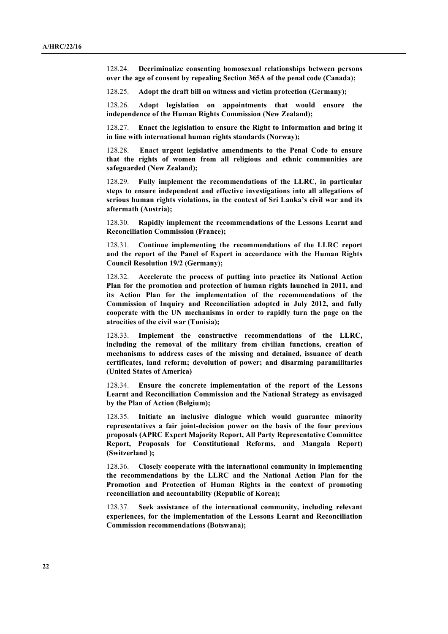128.24. **Decriminalize consenting homosexual relationships between persons over the age of consent by repealing Section 365A of the penal code (Canada);**

128.25. **Adopt the draft bill on witness and victim protection (Germany);**

128.26. **Adopt legislation on appointments that would ensure the independence of the Human Rights Commission (New Zealand);**

128.27. **Enact the legislation to ensure the Right to Information and bring it in line with international human rights standards (Norway);**

128.28. **Enact urgent legislative amendments to the Penal Code to ensure that the rights of women from all religious and ethnic communities are safeguarded (New Zealand);**

128.29. **Fully implement the recommendations of the LLRC, in particular steps to ensure independent and effective investigations into all allegations of serious human rights violations, in the context of Sri Lanka's civil war and its aftermath (Austria);**

128.30. **Rapidly implement the recommendations of the Lessons Learnt and Reconciliation Commission (France);**

128.31. **Continue implementing the recommendations of the LLRC report and the report of the Panel of Expert in accordance with the Human Rights Council Resolution 19/2 (Germany);**

128.32. **Accelerate the process of putting into practice its National Action Plan for the promotion and protection of human rights launched in 2011, and its Action Plan for the implementation of the recommendations of the Commission of Inquiry and Reconciliation adopted in July 2012, and fully cooperate with the UN mechanisms in order to rapidly turn the page on the atrocities of the civil war (Tunisia);**

128.33. **Implement the constructive recommendations of the LLRC, including the removal of the military from civilian functions, creation of mechanisms to address cases of the missing and detained, issuance of death certificates, land reform; devolution of power; and disarming paramilitaries (United States of America)**

128.34. **Ensure the concrete implementation of the report of the Lessons Learnt and Reconciliation Commission and the National Strategy as envisaged by the Plan of Action (Belgium);**

128.35. **Initiate an inclusive dialogue which would guarantee minority representatives a fair joint-decision power on the basis of the four previous proposals (APRC Expert Majority Report, All Party Representative Committee Report, Proposals for Constitutional Reforms, and Mangala Report) (Switzerland );**

128.36. **Closely cooperate with the international community in implementing the recommendations by the LLRC and the National Action Plan for the Promotion and Protection of Human Rights in the context of promoting reconciliation and accountability (Republic of Korea);**

128.37. **Seek assistance of the international community, including relevant experiences, for the implementation of the Lessons Learnt and Reconciliation Commission recommendations (Botswana);**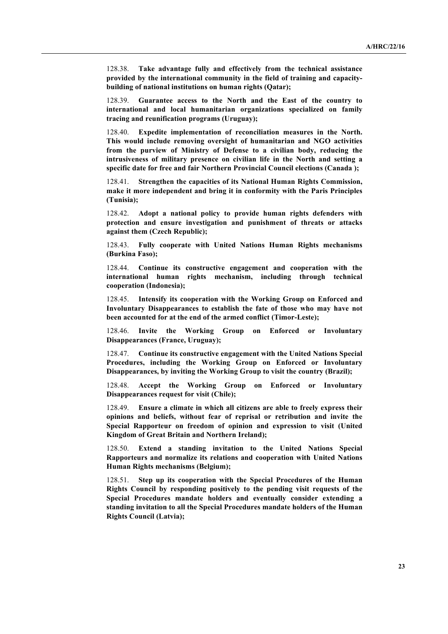128.38. **Take advantage fully and effectively from the technical assistance provided by the international community in the field of training and capacitybuilding of national institutions on human rights (Qatar);**

128.39. **Guarantee access to the North and the East of the country to international and local humanitarian organizations specialized on family tracing and reunification programs (Uruguay);**

128.40. **Expedite implementation of reconciliation measures in the North. This would include removing oversight of humanitarian and NGO activities from the purview of Ministry of Defense to a civilian body, reducing the intrusiveness of military presence on civilian life in the North and setting a specific date for free and fair Northern Provincial Council elections (Canada );**

128.41. **Strengthen the capacities of its National Human Rights Commission, make it more independent and bring it in conformity with the Paris Principles (Tunisia);**

128.42. **Adopt a national policy to provide human rights defenders with protection and ensure investigation and punishment of threats or attacks against them (Czech Republic);**

128.43. **Fully cooperate with United Nations Human Rights mechanisms (Burkina Faso);**

128.44. **Continue its constructive engagement and cooperation with the international human rights mechanism, including through technical cooperation (Indonesia);**

128.45. **Intensify its cooperation with the Working Group on Enforced and Involuntary Disappearances to establish the fate of those who may have not been accounted for at the end of the armed conflict (Timor-Leste);**

128.46. **Invite the Working Group on Enforced or Involuntary Disappearances (France, Uruguay);**

128.47. **Continue its constructive engagement with the United Nations Special Procedures, including the Working Group on Enforced or Involuntary Disappearances, by inviting the Working Group to visit the country (Brazil);**

128.48. **Accept the Working Group on Enforced or Involuntary Disappearances request for visit (Chile);**

128.49. **Ensure a climate in which all citizens are able to freely express their opinions and beliefs, without fear of reprisal or retribution and invite the Special Rapporteur on freedom of opinion and expression to visit (United Kingdom of Great Britain and Northern Ireland);**

128.50. **Extend a standing invitation to the United Nations Special Rapporteurs and normalize its relations and cooperation with United Nations Human Rights mechanisms (Belgium);**

128.51. **Step up its cooperation with the Special Procedures of the Human Rights Council by responding positively to the pending visit requests of the Special Procedures mandate holders and eventually consider extending a standing invitation to all the Special Procedures mandate holders of the Human Rights Council (Latvia);**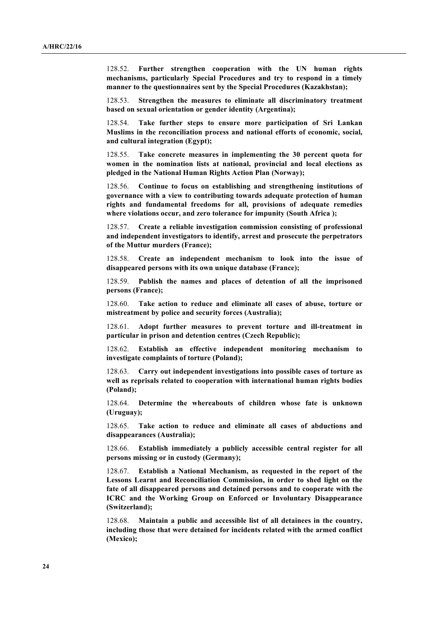128.52. **Further strengthen cooperation with the UN human rights mechanisms, particularly Special Procedures and try to respond in a timely manner to the questionnaires sent by the Special Procedures (Kazakhstan);**

128.53. **Strengthen the measures to eliminate all discriminatory treatment based on sexual orientation or gender identity (Argentina);**

128.54. **Take further steps to ensure more participation of Sri Lankan Muslims in the reconciliation process and national efforts of economic, social, and cultural integration (Egypt);**

128.55. **Take concrete measures in implementing the 30 percent quota for women in the nomination lists at national, provincial and local elections as pledged in the National Human Rights Action Plan (Norway);**

128.56. **Continue to focus on establishing and strengthening institutions of governance with a view to contributing towards adequate protection of human rights and fundamental freedoms for all, provisions of adequate remedies where violations occur, and zero tolerance for impunity (South Africa );**

128.57. **Create a reliable investigation commission consisting of professional and independent investigators to identify, arrest and prosecute the perpetrators of the Muttur murders (France);**

128.58. **Create an independent mechanism to look into the issue of disappeared persons with its own unique database (France);**

128.59. **Publish the names and places of detention of all the imprisoned persons (France);**

128.60. **Take action to reduce and eliminate all cases of abuse, torture or mistreatment by police and security forces (Australia);**

128.61. **Adopt further measures to prevent torture and ill-treatment in particular in prison and detention centres (Czech Republic);**

128.62. **Establish an effective independent monitoring mechanism to investigate complaints of torture (Poland);**

128.63. **Carry out independent investigations into possible cases of torture as well as reprisals related to cooperation with international human rights bodies (Poland);**

128.64. **Determine the whereabouts of children whose fate is unknown (Uruguay);**

128.65. **Take action to reduce and eliminate all cases of abductions and disappearances (Australia);**

128.66. **Establish immediately a publicly accessible central register for all persons missing or in custody (Germany);**

128.67. **Establish a National Mechanism, as requested in the report of the Lessons Learnt and Reconciliation Commission, in order to shed light on the fate of all disappeared persons and detained persons and to cooperate with the ICRC and the Working Group on Enforced or Involuntary Disappearance (Switzerland);**

128.68. **Maintain a public and accessible list of all detainees in the country, including those that were detained for incidents related with the armed conflict (Mexico);**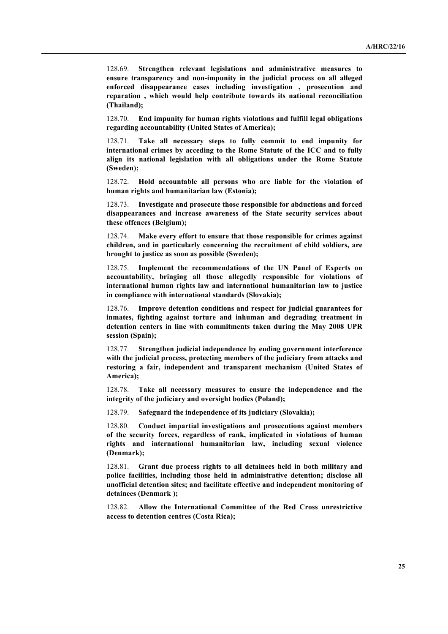128.69. **Strengthen relevant legislations and administrative measures to ensure transparency and non-impunity in the judicial process on all alleged enforced disappearance cases including investigation , prosecution and reparation , which would help contribute towards its national reconciliation (Thailand);**

128.70. **End impunity for human rights violations and fulfill legal obligations regarding accountability (United States of America);**

128.71. **Take all necessary steps to fully commit to end impunity for international crimes by acceding to the Rome Statute of the ICC and to fully align its national legislation with all obligations under the Rome Statute (Sweden);**

128.72. **Hold accountable all persons who are liable for the violation of human rights and humanitarian law (Estonia);**

128.73. **Investigate and prosecute those responsible for abductions and forced disappearances and increase awareness of the State security services about these offences (Belgium);**

128.74. **Make every effort to ensure that those responsible for crimes against children, and in particularly concerning the recruitment of child soldiers, are brought to justice as soon as possible (Sweden);**

128.75. **Implement the recommendations of the UN Panel of Experts on accountability, bringing all those allegedly responsible for violations of international human rights law and international humanitarian law to justice in compliance with international standards (Slovakia);**

128.76. **Improve detention conditions and respect for judicial guarantees for inmates, fighting against torture and inhuman and degrading treatment in detention centers in line with commitments taken during the May 2008 UPR session (Spain);**

128.77. **Strengthen judicial independence by ending government interference with the judicial process, protecting members of the judiciary from attacks and restoring a fair, independent and transparent mechanism (United States of America);**

128.78. **Take all necessary measures to ensure the independence and the integrity of the judiciary and oversight bodies (Poland);**

128.79. **Safeguard the independence of its judiciary (Slovakia);**

128.80. **Conduct impartial investigations and prosecutions against members of the security forces, regardless of rank, implicated in violations of human rights and international humanitarian law, including sexual violence (Denmark);**

128.81. **Grant due process rights to all detainees held in both military and police facilities, including those held in administrative detention; disclose all unofficial detention sites; and facilitate effective and independent monitoring of detainees (Denmark );**

128.82. **Allow the International Committee of the Red Cross unrestrictive access to detention centres (Costa Rica);**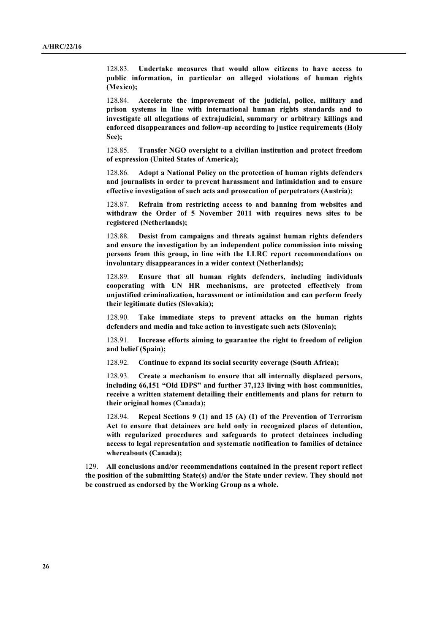128.83. **Undertake measures that would allow citizens to have access to public information, in particular on alleged violations of human rights (Mexico);**

128.84. **Accelerate the improvement of the judicial, police, military and prison systems in line with international human rights standards and to investigate all allegations of extrajudicial, summary or arbitrary killings and enforced disappearances and follow-up according to justice requirements (Holy See);**

128.85. **Transfer NGO oversight to a civilian institution and protect freedom of expression (United States of America);**

128.86. **Adopt a National Policy on the protection of human rights defenders and journalists in order to prevent harassment and intimidation and to ensure effective investigation of such acts and prosecution of perpetrators (Austria);**

128.87. **Refrain from restricting access to and banning from websites and withdraw the Order of 5 November 2011 with requires news sites to be registered (Netherlands);**

128.88. **Desist from campaigns and threats against human rights defenders and ensure the investigation by an independent police commission into missing persons from this group, in line with the LLRC report recommendations on involuntary disappearances in a wider context (Netherlands);**

128.89. **Ensure that all human rights defenders, including individuals cooperating with UN HR mechanisms, are protected effectively from unjustified criminalization, harassment or intimidation and can perform freely their legitimate duties (Slovakia);**

128.90. **Take immediate steps to prevent attacks on the human rights defenders and media and take action to investigate such acts (Slovenia);**

128.91. **Increase efforts aiming to guarantee the right to freedom of religion and belief (Spain);**

128.92. **Continue to expand its social security coverage (South Africa);**

128.93. **Create a mechanism to ensure that all internally displaced persons, including 66,151 "Old IDPS" and further 37,123 living with host communities, receive a written statement detailing their entitlements and plans for return to their original homes (Canada);**

128.94. **Repeal Sections 9 (1) and 15 (A) (1) of the Prevention of Terrorism Act to ensure that detainees are held only in recognized places of detention, with regularized procedures and safeguards to protect detainees including access to legal representation and systematic notification to families of detainee whereabouts (Canada);**

129. **All conclusions and/or recommendations contained in the present report reflect the position of the submitting State(s) and/or the State under review. They should not be construed as endorsed by the Working Group as a whole.**